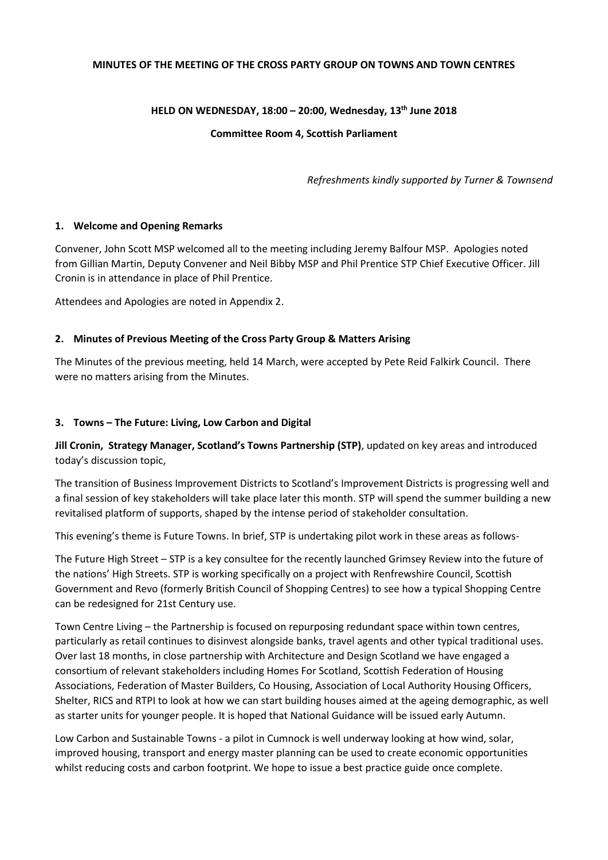#### **MINUTES OF THE MEETING OF THE CROSS PARTY GROUP ON TOWNS AND TOWN CENTRES**

## **HELD ON WEDNESDAY, 18:00 – 20:00, Wednesday, 13th June 2018**

### **Committee Room 4, Scottish Parliament**

*Refreshments kindly supported by Turner & Townsend*

#### **1. Welcome and Opening Remarks**

Convener, John Scott MSP welcomed all to the meeting including Jeremy Balfour MSP. Apologies noted from Gillian Martin, Deputy Convener and Neil Bibby MSP and Phil Prentice STP Chief Executive Officer. Jill Cronin is in attendance in place of Phil Prentice.

Attendees and Apologies are noted in Appendix 2.

## **2. Minutes of Previous Meeting of the Cross Party Group & Matters Arising**

The Minutes of the previous meeting, held 14 March, were accepted by Pete Reid Falkirk Council. There were no matters arising from the Minutes.

## **3. Towns – The Future: Living, Low Carbon and Digital**

**Jill Cronin, Strategy Manager, Scotland's Towns Partnership (STP)**, updated on key areas and introduced today's discussion topic,

The transition of Business Improvement Districts to Scotland's Improvement Districts is progressing well and a final session of key stakeholders will take place later this month. STP will spend the summer building a new revitalised platform of supports, shaped by the intense period of stakeholder consultation.

This evening's theme is Future Towns. In brief, STP is undertaking pilot work in these areas as follows-

The Future High Street – STP is a key consultee for the recently launched Grimsey Review into the future of the nations' High Streets. STP is working specifically on a project with Renfrewshire Council, Scottish Government and Revo (formerly British Council of Shopping Centres) to see how a typical Shopping Centre can be redesigned for 21st Century use.

Town Centre Living – the Partnership is focused on repurposing redundant space within town centres, particularly as retail continues to disinvest alongside banks, travel agents and other typical traditional uses. Over last 18 months, in close partnership with Architecture and Design Scotland we have engaged a consortium of relevant stakeholders including Homes For Scotland, Scottish Federation of Housing Associations, Federation of Master Builders, Co Housing, Association of Local Authority Housing Officers, Shelter, RICS and RTPI to look at how we can start building houses aimed at the ageing demographic, as well as starter units for younger people. It is hoped that National Guidance will be issued early Autumn.

Low Carbon and Sustainable Towns - a pilot in Cumnock is well underway looking at how wind, solar, improved housing, transport and energy master planning can be used to create economic opportunities whilst reducing costs and carbon footprint. We hope to issue a best practice guide once complete.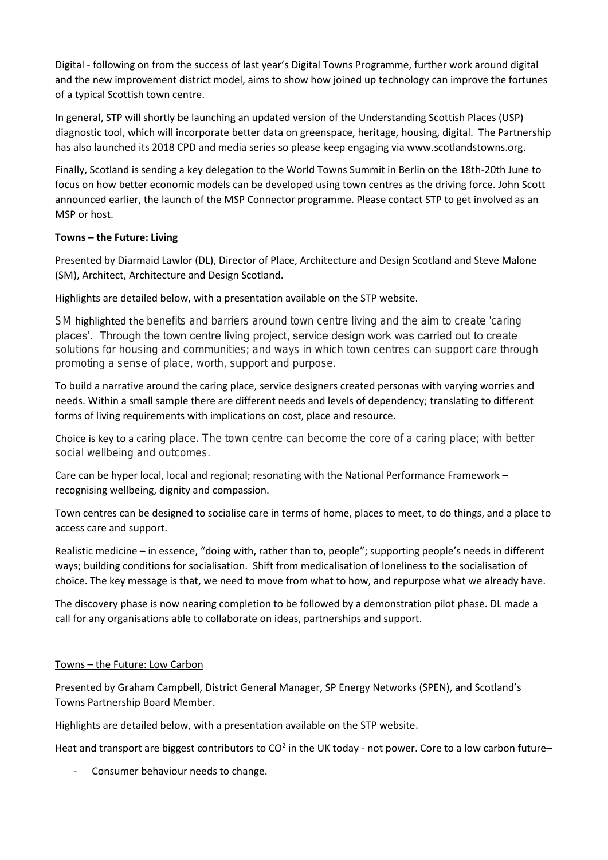Digital - following on from the success of last year's Digital Towns Programme, further work around digital and the new improvement district model, aims to show how joined up technology can improve the fortunes of a typical Scottish town centre.

In general, STP will shortly be launching an updated version of the Understanding Scottish Places (USP) diagnostic tool, which will incorporate better data on greenspace, heritage, housing, digital. The Partnership has also launched its 2018 CPD and media series so please keep engaging via www.scotlandstowns.org.

Finally, Scotland is sending a key delegation to the World Towns Summit in Berlin on the 18th-20th June to focus on how better economic models can be developed using town centres as the driving force. John Scott announced earlier, the launch of the MSP Connector programme. Please contact STP to get involved as an MSP or host.

# **Towns – the Future: Living**

Presented by Diarmaid Lawlor (DL), Director of Place, Architecture and Design Scotland and Steve Malone (SM), Architect, Architecture and Design Scotland.

Highlights are detailed below, with a presentation available on the STP website.

SM highlighted the benefits and barriers around town centre living and the aim to create 'caring places'. Through the town centre living project, service design work was carried out to create solutions for housing and communities; and ways in which town centres can support care through promoting a sense of place, worth, support and purpose.

To build a narrative around the caring place, service designers created personas with varying worries and needs. Within a small sample there are different needs and levels of dependency; translating to different forms of living requirements with implications on cost, place and resource.

Choice is key to a caring place. The town centre can become the core of a caring place; with better social wellbeing and outcomes.

Care can be hyper local, local and regional; resonating with the National Performance Framework – recognising wellbeing, dignity and compassion.

Town centres can be designed to socialise care in terms of home, places to meet, to do things, and a place to access care and support.

Realistic medicine – in essence, "doing with, rather than to, people"; supporting people's needs in different ways; building conditions for socialisation. Shift from medicalisation of loneliness to the socialisation of choice. The key message is that, we need to move from what to how, and repurpose what we already have.

The discovery phase is now nearing completion to be followed by a demonstration pilot phase. DL made a call for any organisations able to collaborate on ideas, partnerships and support.

#### Towns – the Future: Low Carbon

Presented by Graham Campbell, District General Manager, SP Energy Networks (SPEN), and Scotland's Towns Partnership Board Member.

Highlights are detailed below, with a presentation available on the STP website.

Heat and transport are biggest contributors to  $CO<sup>2</sup>$  in the UK today - not power. Core to a low carbon future–

- Consumer behaviour needs to change.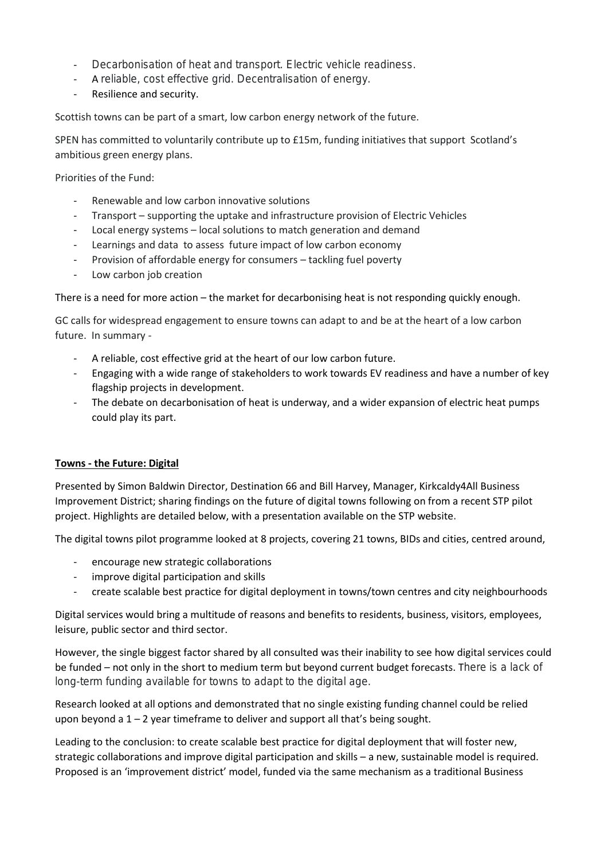- Decarbonisation of heat and transport. Electric vehicle readiness.
- A reliable, cost effective grid. Decentralisation of energy.
- Resilience and security.

Scottish towns can be part of a smart, low carbon energy network of the future.

SPEN has committed to voluntarily contribute up to £15m, funding initiatives that support Scotland's ambitious green energy plans.

Priorities of the Fund:

- Renewable and low carbon innovative solutions
- Transport supporting the uptake and infrastructure provision of Electric Vehicles
- Local energy systems local solutions to match generation and demand
- Learnings and data to assess future impact of low carbon economy
- Provision of affordable energy for consumers tackling fuel poverty
- Low carbon job creation

There is a need for more action – the market for decarbonising heat is not responding quickly enough.

GC calls for widespread engagement to ensure towns can adapt to and be at the heart of a low carbon future. In summary -

- A reliable, cost effective grid at the heart of our low carbon future.
- Engaging with a wide range of stakeholders to work towards EV readiness and have a number of key flagship projects in development.
- The debate on decarbonisation of heat is underway, and a wider expansion of electric heat pumps could play its part.

#### **Towns - the Future: Digital**

Presented by Simon Baldwin Director, Destination 66 and Bill Harvey, Manager, Kirkcaldy4All Business Improvement District; sharing findings on the future of digital towns following on from a recent STP pilot project. Highlights are detailed below, with a presentation available on the STP website.

The digital towns pilot programme looked at 8 projects, covering 21 towns, BIDs and cities, centred around,

- encourage new strategic collaborations
- improve digital participation and skills
- create scalable best practice for digital deployment in towns/town centres and city neighbourhoods

Digital services would bring a multitude of reasons and benefits to residents, business, visitors, employees, leisure, public sector and third sector.

However, the single biggest factor shared by all consulted was their inability to see how digital services could be funded – not only in the short to medium term but beyond current budget forecasts. There is a lack of long-term funding available for towns to adapt to the digital age.

Research looked at all options and demonstrated that no single existing funding channel could be relied upon beyond a 1 – 2 year timeframe to deliver and support all that's being sought.

Leading to the conclusion: to create scalable best practice for digital deployment that will foster new, strategic collaborations and improve digital participation and skills – a new, sustainable model is required. Proposed is an 'improvement district' model, funded via the same mechanism as a traditional Business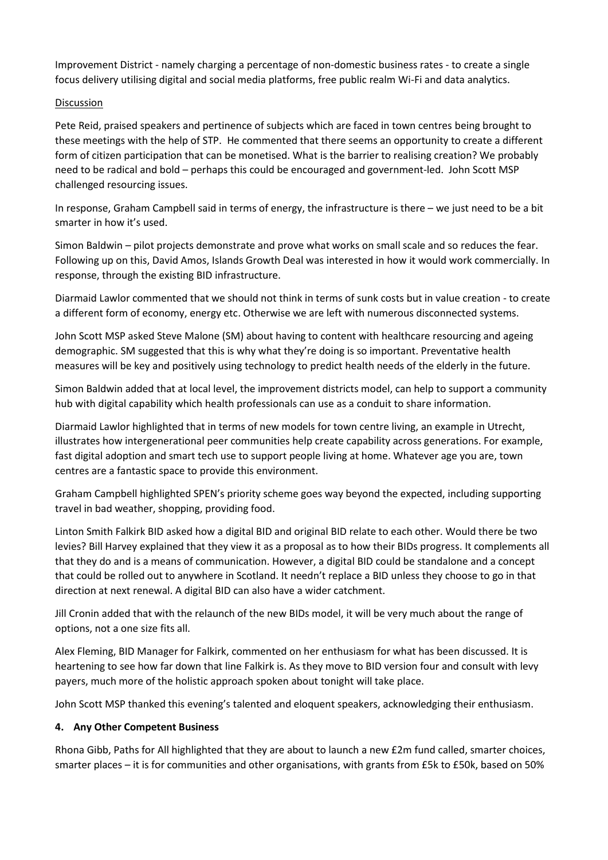Improvement District - namely charging a percentage of non-domestic business rates - to create a single focus delivery utilising digital and social media platforms, free public realm Wi-Fi and data analytics.

# Discussion

Pete Reid, praised speakers and pertinence of subjects which are faced in town centres being brought to these meetings with the help of STP. He commented that there seems an opportunity to create a different form of citizen participation that can be monetised. What is the barrier to realising creation? We probably need to be radical and bold – perhaps this could be encouraged and government-led. John Scott MSP challenged resourcing issues.

In response, Graham Campbell said in terms of energy, the infrastructure is there – we just need to be a bit smarter in how it's used.

Simon Baldwin – pilot projects demonstrate and prove what works on small scale and so reduces the fear. Following up on this, David Amos, Islands Growth Deal was interested in how it would work commercially. In response, through the existing BID infrastructure.

Diarmaid Lawlor commented that we should not think in terms of sunk costs but in value creation - to create a different form of economy, energy etc. Otherwise we are left with numerous disconnected systems.

John Scott MSP asked Steve Malone (SM) about having to content with healthcare resourcing and ageing demographic. SM suggested that this is why what they're doing is so important. Preventative health measures will be key and positively using technology to predict health needs of the elderly in the future.

Simon Baldwin added that at local level, the improvement districts model, can help to support a community hub with digital capability which health professionals can use as a conduit to share information.

Diarmaid Lawlor highlighted that in terms of new models for town centre living, an example in Utrecht, illustrates how intergenerational peer communities help create capability across generations. For example, fast digital adoption and smart tech use to support people living at home. Whatever age you are, town centres are a fantastic space to provide this environment.

Graham Campbell highlighted SPEN's priority scheme goes way beyond the expected, including supporting travel in bad weather, shopping, providing food.

Linton Smith Falkirk BID asked how a digital BID and original BID relate to each other. Would there be two levies? Bill Harvey explained that they view it as a proposal as to how their BIDs progress. It complements all that they do and is a means of communication. However, a digital BID could be standalone and a concept that could be rolled out to anywhere in Scotland. It needn't replace a BID unless they choose to go in that direction at next renewal. A digital BID can also have a wider catchment.

Jill Cronin added that with the relaunch of the new BIDs model, it will be very much about the range of options, not a one size fits all.

Alex Fleming, BID Manager for Falkirk, commented on her enthusiasm for what has been discussed. It is heartening to see how far down that line Falkirk is. As they move to BID version four and consult with levy payers, much more of the holistic approach spoken about tonight will take place.

John Scott MSP thanked this evening's talented and eloquent speakers, acknowledging their enthusiasm.

# **4. Any Other Competent Business**

Rhona Gibb, Paths for All highlighted that they are about to launch a new £2m fund called, smarter choices, smarter places – it is for communities and other organisations, with grants from £5k to £50k, based on 50%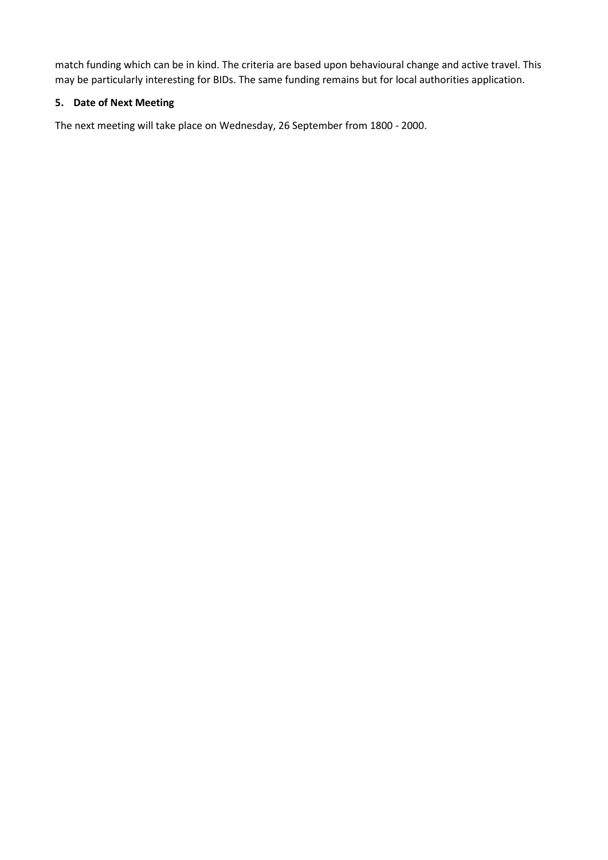match funding which can be in kind. The criteria are based upon behavioural change and active travel. This may be particularly interesting for BIDs. The same funding remains but for local authorities application.

# **5. Date of Next Meeting**

The next meeting will take place on Wednesday, 26 September from 1800 - 2000.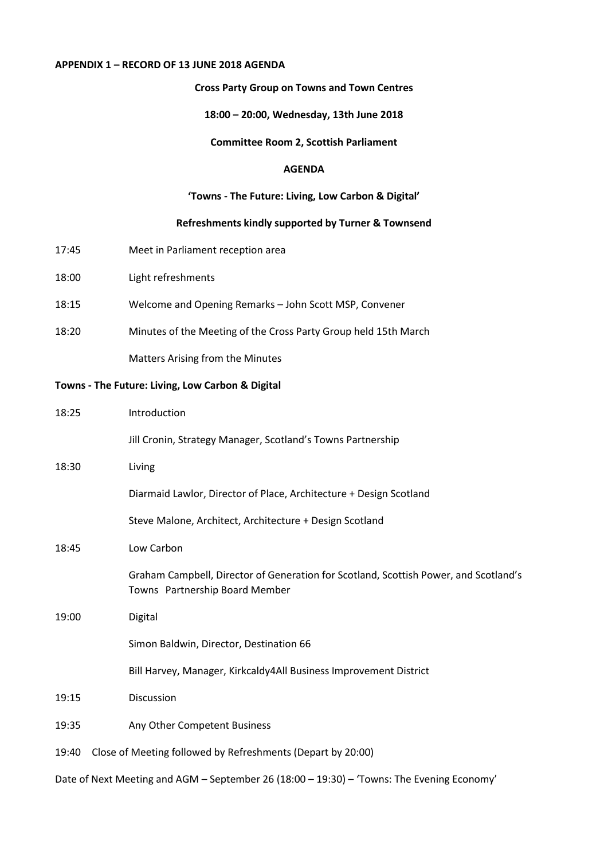## **APPENDIX 1 – RECORD OF 13 JUNE 2018 AGENDA**

### **Cross Party Group on Towns and Town Centres**

#### **18:00 – 20:00, Wednesday, 13th June 2018**

## **Committee Room 2, Scottish Parliament**

#### **AGENDA**

### **'Towns - The Future: Living, Low Carbon & Digital'**

#### **Refreshments kindly supported by Turner & Townsend**

- 17:45 Meet in Parliament reception area
- 18:00 Light refreshments
- 18:15 Welcome and Opening Remarks John Scott MSP, Convener
- 18:20 Minutes of the Meeting of the Cross Party Group held 15th March

Matters Arising from the Minutes

## **Towns - The Future: Living, Low Carbon & Digital**

| Introduction                                                                                                           |
|------------------------------------------------------------------------------------------------------------------------|
| Jill Cronin, Strategy Manager, Scotland's Towns Partnership                                                            |
| Living                                                                                                                 |
| Diarmaid Lawlor, Director of Place, Architecture + Design Scotland                                                     |
| Steve Malone, Architect, Architecture + Design Scotland                                                                |
| Low Carbon                                                                                                             |
| Graham Campbell, Director of Generation for Scotland, Scottish Power, and Scotland's<br>Towns Partnership Board Member |
| Digital                                                                                                                |
| Simon Baldwin, Director, Destination 66                                                                                |
| Bill Harvey, Manager, Kirkcaldy4All Business Improvement District                                                      |
| Discussion                                                                                                             |
| Any Other Competent Business                                                                                           |
| Close of Meeting followed by Refreshments (Depart by 20:00)                                                            |
|                                                                                                                        |

Date of Next Meeting and AGM – September 26 (18:00 – 19:30) – 'Towns: The Evening Economy'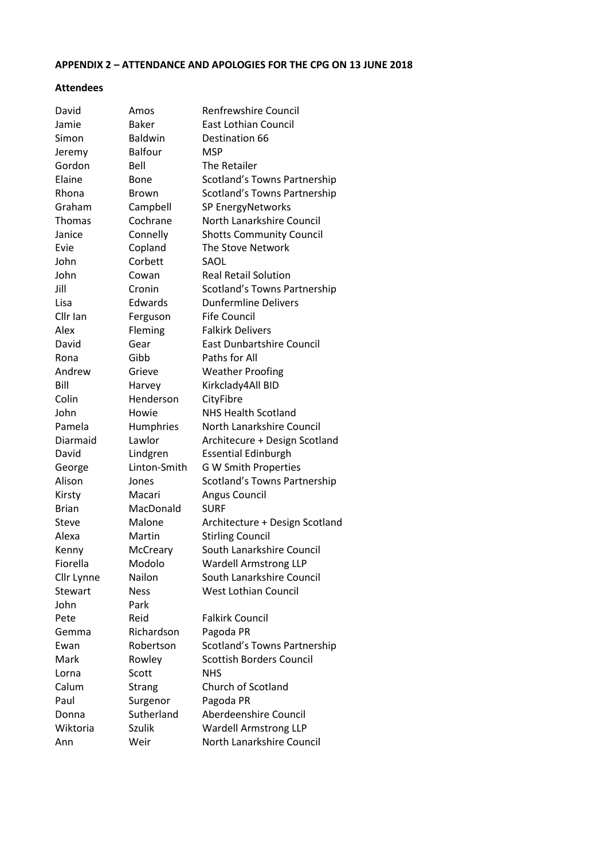# **APPENDIX 2 – ATTENDANCE AND APOLOGIES FOR THE CPG ON 13 JUNE 2018**

## **Attendees**

| David        | Amos           | <b>Renfrewshire Council</b>         |
|--------------|----------------|-------------------------------------|
| Jamie        | <b>Baker</b>   | <b>East Lothian Council</b>         |
| Simon        | <b>Baldwin</b> | Destination 66                      |
| Jeremy       | <b>Balfour</b> | <b>MSP</b>                          |
| Gordon       | Bell           | The Retailer                        |
| Elaine       | Bone           | <b>Scotland's Towns Partnership</b> |
| Rhona        | <b>Brown</b>   | Scotland's Towns Partnership        |
| Graham       | Campbell       | SP EnergyNetworks                   |
| Thomas       | Cochrane       | North Lanarkshire Council           |
| Janice       | Connelly       | <b>Shotts Community Council</b>     |
| Evie         | Copland        | The Stove Network                   |
| John         | Corbett        | SAOL                                |
| John         | Cowan          | <b>Real Retail Solution</b>         |
| Jill         | Cronin         | Scotland's Towns Partnership        |
| Lisa         | Edwards        | <b>Dunfermline Delivers</b>         |
| Cllr Ian     | Ferguson       | <b>Fife Council</b>                 |
| Alex         | Fleming        | <b>Falkirk Delivers</b>             |
| David        | Gear           | <b>East Dunbartshire Council</b>    |
| Rona         | Gibb           | Paths for All                       |
| Andrew       | Grieve         | <b>Weather Proofing</b>             |
| Bill         | Harvey         | Kirkclady4All BID                   |
| Colin        | Henderson      | CityFibre                           |
| John         | Howie          | <b>NHS Health Scotland</b>          |
| Pamela       | Humphries      | North Lanarkshire Council           |
| Diarmaid     | Lawlor         | Architecure + Design Scotland       |
| David        | Lindgren       | <b>Essential Edinburgh</b>          |
| George       | Linton-Smith   | <b>G W Smith Properties</b>         |
| Alison       | Jones          | Scotland's Towns Partnership        |
| Kirsty       | Macari         | <b>Angus Council</b>                |
| <b>Brian</b> | MacDonald      | <b>SURF</b>                         |
| Steve        | Malone         | Architecture + Design Scotland      |
| Alexa        | Martin         | <b>Stirling Council</b>             |
| Kenny        | McCreary       | South Lanarkshire Council           |
| Fiorella     | Modolo         | <b>Wardell Armstrong LLP</b>        |
| Cllr Lynne   | Nailon         | South Lanarkshire Council           |
| Stewart      | <b>Ness</b>    | <b>West Lothian Council</b>         |
| John         | Park           |                                     |
| Pete         | Reid           | <b>Falkirk Council</b>              |
| Gemma        | Richardson     | Pagoda PR                           |
| Ewan         | Robertson      | Scotland's Towns Partnership        |
| Mark         | Rowley         | <b>Scottish Borders Council</b>     |
| Lorna        | Scott          | <b>NHS</b>                          |
| Calum        | <b>Strang</b>  | Church of Scotland                  |
| Paul         | Surgenor       | Pagoda PR                           |
| Donna        | Sutherland     | Aberdeenshire Council               |
| Wiktoria     | Szulik         | <b>Wardell Armstrong LLP</b>        |
| Ann          | Weir           | North Lanarkshire Council           |